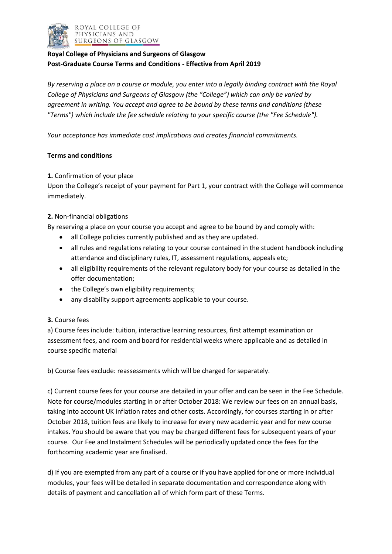

# **Royal College of Physicians and Surgeons of Glasgow Post-Graduate Course Terms and Conditions - Effective from April 2019**

*By reserving a place on a course or module, you enter into a legally binding contract with the Royal College of Physicians and Surgeons of Glasgow (the "College") which can only be varied by agreement in writing. You accept and agree to be bound by these terms and conditions (these "Terms") which include the fee schedule relating to your specific course (the "Fee Schedule").* 

*Your acceptance has immediate cost implications and creates financial commitments.*

## **Terms and conditions**

#### **1.** Confirmation of your place

Upon the College's receipt of your payment for Part 1, your contract with the College will commence immediately.

#### **2.** Non-financial obligations

By reserving a place on your course you accept and agree to be bound by and comply with:

- all College policies currently published and as they are updated.
- all rules and regulations relating to your course contained in the student handbook including attendance and disciplinary rules, IT, assessment regulations, appeals etc;
- all eligibility requirements of the relevant regulatory body for your course as detailed in the offer documentation;
- the College's own eligibility requirements;
- any disability support agreements applicable to your course.

#### **3.** Course fees

a) Course fees include: tuition, interactive learning resources, first attempt examination or assessment fees, and room and board for residential weeks where applicable and as detailed in course specific material

b) Course fees exclude: reassessments which will be charged for separately.

c) Current course fees for your course are detailed in your offer and can be seen in the Fee Schedule. Note for course/modules starting in or after October 2018: We review our fees on an annual basis, taking into account UK inflation rates and other costs. Accordingly, for courses starting in or after October 2018, tuition fees are likely to increase for every new academic year and for new course intakes. You should be aware that you may be charged different fees for subsequent years of your course. Our Fee and Instalment Schedules will be periodically updated once the fees for the forthcoming academic year are finalised.

d) If you are exempted from any part of a course or if you have applied for one or more individual modules, your fees will be detailed in separate documentation and correspondence along with details of payment and cancellation all of which form part of these Terms.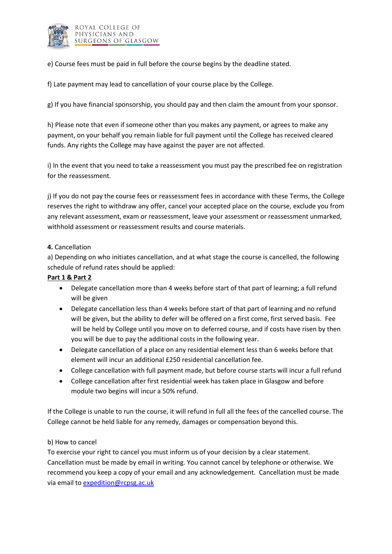

e) Course fees must be paid in full before the course begins by the deadline stated.

f) Late payment may lead to cancellation of your course place by the College.

g) If you have financial sponsorship, you should pay and then claim the amount from your sponsor.

h) Please note that even if someone other than you makes any payment, or agrees to make any payment, on your behalf you remain liable for full payment until the College has received cleared funds. Any rights the College may have against the payer are not affected.

i) In the event that you need to take a reassessment you must pay the prescribed fee on registration for the reassessment.

j) If you do not pay the course fees or reassessment fees in accordance with these Terms, the College reserves the right to withdraw any offer, cancel your accepted place on the course, exclude you from any relevant assessment, exam or reassessment, leave your assessment or reassessment unmarked, withhold assessment or reassessment results and course materials.

## **4.** Cancellation

a) Depending on who initiates cancellation, and at what stage the course is cancelled, the following schedule of refund rates should be applied:

## **Part 1 & Part 2**

- Delegate cancellation more than 4 weeks before start of that part of learning; a full refund will be given
- Delegate cancellation less than 4 weeks before start of that part of learning and no refund will be given, but the ability to defer will be offered on a first come, first served basis. Fee will be held by College until you move on to deferred course, and if costs have risen by then you will be due to pay the additional costs in the following year.
- Delegate cancellation of a place on any residential element less than 6 weeks before that element will incur an additional £250 residential cancellation fee.
- College cancellation with full payment made, but before course starts will incur a full refund
- College cancellation after first residential week has taken place in Glasgow and before module two begins will incur a 50% refund.

If the College is unable to run the course, it will refund in full all the fees of the cancelled course. The College cannot be held liable for any remedy, damages or compensation beyond this.

#### b) How to cancel

To exercise your right to cancel you must inform us of your decision by a clear statement. Cancellation must be made by email in writing. You cannot cancel by telephone or otherwise. We recommend you keep a copy of your email and any acknowledgement. Cancellation must be made via email to [expedition@rcpsg.ac.uk](mailto:expedition@rcpsg.ac.uk)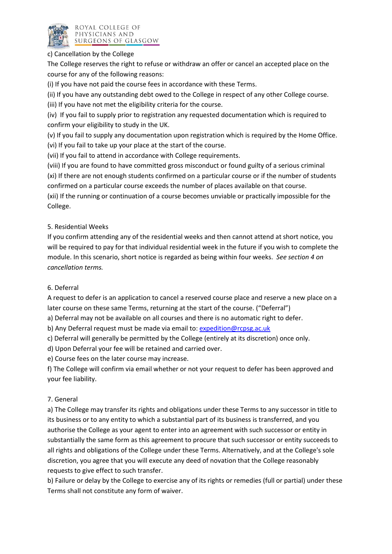

#### c) Cancellation by the College

The College reserves the right to refuse or withdraw an offer or cancel an accepted place on the course for any of the following reasons:

(i) If you have not paid the course fees in accordance with these Terms.

(ii) If you have any outstanding debt owed to the College in respect of any other College course.

(iii) If you have not met the eligibility criteria for the course.

(iv) If you fail to supply prior to registration any requested documentation which is required to confirm your eligibility to study in the UK.

(v) If you fail to supply any documentation upon registration which is required by the Home Office. (vi) If you fail to take up your place at the start of the course.

(vii) If you fail to attend in accordance with College requirements.

(viii) If you are found to have committed gross misconduct or found guilty of a serious criminal (xi) If there are not enough students confirmed on a particular course or if the number of students confirmed on a particular course exceeds the number of places available on that course.

(xii) If the running or continuation of a course becomes unviable or practically impossible for the College.

# 5. Residential Weeks

If you confirm attending any of the residential weeks and then cannot attend at short notice, you will be required to pay for that individual residential week in the future if you wish to complete the module. In this scenario, short notice is regarded as being within four weeks. *See section 4 on cancellation terms.*

## 6. Deferral

A request to defer is an application to cancel a reserved course place and reserve a new place on a later course on these same Terms, returning at the start of the course. ("Deferral")

a) Deferral may not be available on all courses and there is no automatic right to defer.

b) Any Deferral request must be made via email to: [expedition@rcpsg.ac.uk](mailto:expedition@rcpsg.ac.uk)

c) Deferral will generally be permitted by the College (entirely at its discretion) once only.

d) Upon Deferral your fee will be retained and carried over.

e) Course fees on the later course may increase.

f) The College will confirm via email whether or not your request to defer has been approved and your fee liability.

## 7. General

a) The College may transfer its rights and obligations under these Terms to any successor in title to its business or to any entity to which a substantial part of its business is transferred, and you authorise the College as your agent to enter into an agreement with such successor or entity in substantially the same form as this agreement to procure that such successor or entity succeeds to all rights and obligations of the College under these Terms. Alternatively, and at the College's sole discretion, you agree that you will execute any deed of novation that the College reasonably requests to give effect to such transfer.

b) Failure or delay by the College to exercise any of its rights or remedies (full or partial) under these Terms shall not constitute any form of waiver.